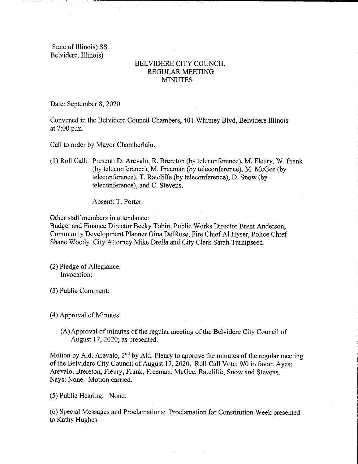State of Illinois) SS Belvidere, Illinois)

## BELVIDERE CITY COUNCIL REGULAR MEETING MINUTES

Date: September 8, 2020

Convened in the Belvidere Council Chambers, 401 Whitney Blvd, Belvidere Illinois at 7:00 p.m.

Call to order by Mayor Chamberlain.

1) Roll Call: Present: D. Arevalo, R. Brereton( by teleconference), M. Fleury, W. Frank (by teleconference), M. Freeman (by teleconference), M. McGee (by teleconference), T. Ratcliffe (by teleconference), D. Snow (by teleconference), and C. Stevens.

Absent: T. Porter.

Other staff members in attendance:

Budget and Finance Director Becky Tobin, Public Works Director Brent Anderson, Community Development Planner Gina DelRose, Fire Chief Al Hyser, Police Chief Shane Woody, City Attorney Mike Drella and City Clerk Sarah Turnipseed.

- 2) Pledge of Allegiance: Invocation:
- 3) Public Comment:

4) Approval of Minutes:

A)Approval of minutes of the regular meeting of the Belvidere City Council of August 17, 2020; as presented.

Motion by Ald. Arevalo,  $2<sup>nd</sup>$  by Ald. Fleury to approve the minutes of the regular meeting of the Belvidere City Council of August 17, 2020. Roll Call Vote: 9/0 in favor. Ayes: Arevalo, Brereton, Fleury, Frank, Freeman, McGee, Ratcliffe, Snow and Stevens. Nays: None. Motion carried.

5) Public Hearing: None.

6) Special Messages and Proclamations: Proclamation for Constitution Week presented to Kathy Hughes.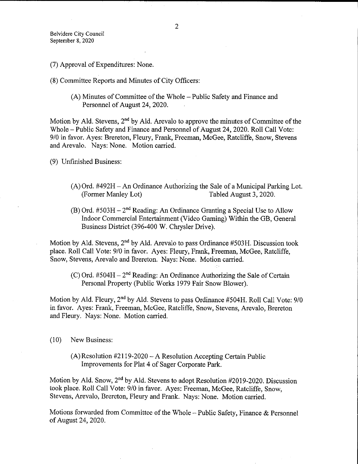- 7) Approval of Expenditures: None.
- 8) Committee Reports and Minutes of City Offrcers:
	- A) Minutes of Committee of the Whole— Public Safety and Finance and Personnel of August 24, 2020.

Motion by Ald. Stevens,  $2<sup>nd</sup>$  by Ald. Arevalo to approve the minutes of Committee of the Whole— Public Safety and Finance and Personnel of August 24, 2020. Roll Call Vote: 9/0 in favor. Ayes: Brereton, Fleury, Frank, Freeman, McGee, Ratcliffe, Snow, Stevens and Arevalo. Nays: None. Motion carried.

9) Unfinished Business:

- (A) Ord.  $#492H$  An Ordinance Authorizing the Sale of a Municipal Parking Lot.<br>(Former Manley Lot) Tabled August 3, 2020. Tabled August 3, 2020.
- (B) Ord.  $#503H 2<sup>nd</sup>$  Reading: An Ordinance Granting a Special Use to Allow Indoor Commercial Entertainment( Video Gaming) Within the GB, General Business District (396-400 W. Chrysler Drive).

Motion by Ald. Stevens,  $2<sup>nd</sup>$  by Ald. Arevalo to pass Ordinance #503H. Discussion took place. Roll Call Vote: 9/0 in favor. Ayes: Fleury, Frank, Freeman, McGee, Ratcliffe, Snow, Stevens, Arevalo and Brereton: Nays: None. Motion carried.

 $(C)$  Ord. #504H – 2<sup>nd</sup> Reading: An Ordinance Authorizing the Sale of Certain Personal Property (Public Works 1979 Fair Snow Blower).

Motion by Ald. Fleury, 2<sup>nd</sup> by Ald. Stevens to pass Ordinance #504H. Roll Call Vote: 9/0 in favor. Ayes: Frank, Freeman, McGee, Ratcliffe, Snow, Stevens, Arevalo, Brereton and Fleury. Nays: None. Motion carried.

- 10) New Business:
	- $(A)$  Resolution #2119-2020 A Resolution Accepting Certain Public Improvements for Plat 4 of Sager Corporate Park.

Motion by Ald. Snow,  $2<sup>nd</sup>$  by Ald. Stevens to adopt Resolution #2019-2020. Discussion took place. Roll Call Vote: 9/0 in favor. Ayes: Freeman, McGee, Ratcliffe, Snow, Stevens, Arevalo, Brereton, Fleury and Frank. Nays: None. Motion carried.

Motions forwarded from Committee of the Whole— Public Safety, Finance & Personnel ofAugust 24, 2020.